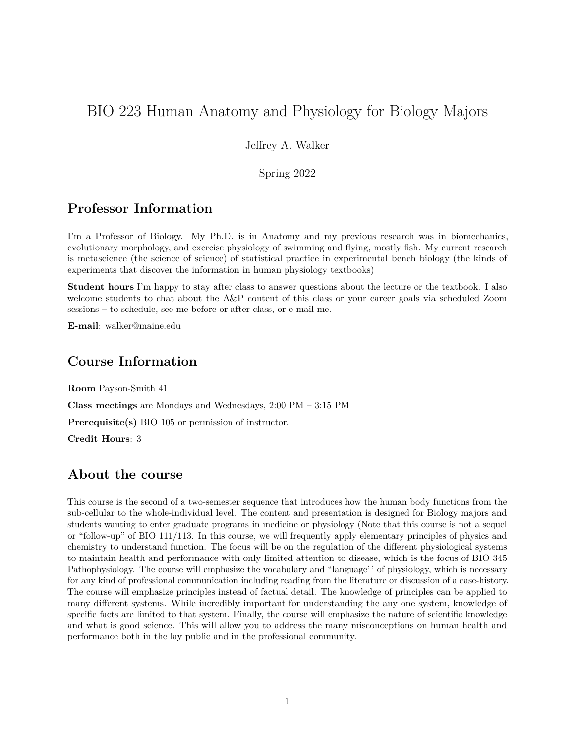# BIO 223 Human Anatomy and Physiology for Biology Majors

Jeffrey A. Walker

Spring 2022

# **Professor Information**

I'm a Professor of Biology. My Ph.D. is in Anatomy and my previous research was in biomechanics, evolutionary morphology, and exercise physiology of swimming and flying, mostly fish. My current research is metascience (the science of science) of statistical practice in experimental bench biology (the kinds of experiments that discover the information in human physiology textbooks)

**Student hours** I'm happy to stay after class to answer questions about the lecture or the textbook. I also welcome students to chat about the A&P content of this class or your career goals via scheduled Zoom sessions – to schedule, see me before or after class, or e-mail me.

**E-mail**: [walker@maine.edu](mailto:walker@maine.edu) 

# **Course Information**

**Room** Payson-Smith 41 **Class meetings** are Mondays and Wednesdays, 2:00 PM – 3:15 PM **Prerequisite(s)** BIO 105 or permission of instructor. **Credit Hours**: 3

# **About the course**

This course is the second of a two-semester sequence that introduces how the human body functions from the sub-cellular to the whole-individual level. The content and presentation is designed for Biology majors and students wanting to enter graduate programs in medicine or physiology (Note that this course is not a sequel or "follow-up" of BIO 111/113. In this course, we will frequently apply elementary principles of physics and chemistry to understand function. The focus will be on the regulation of the different physiological systems to maintain health and performance with only limited attention to disease, which is the focus of BIO 345 Pathophysiology. The course will emphasize the vocabulary and "language'' of physiology, which is necessary for any kind of professional communication including reading from the literature or discussion of a case-history. The course will emphasize principles instead of factual detail. The knowledge of principles can be applied to many different systems. While incredibly important for understanding the any one system, knowledge of specific facts are limited to that system. Finally, the course will emphasize the nature of scientific knowledge and what is good science. This will allow you to address the many misconceptions on human health and performance both in the lay public and in the professional community.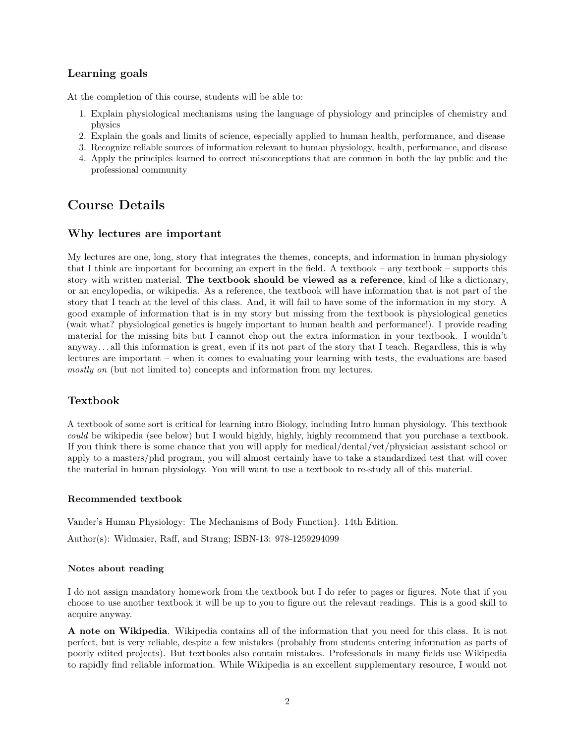# **Learning goals**

At the completion of this course, students will be able to:

- 1. Explain physiological mechanisms using the language of physiology and principles of chemistry and physics
- 2. Explain the goals and limits of science, especially applied to human health, performance, and disease
- 3. Recognize reliable sources of information relevant to human physiology, health, performance, and disease
- 4. Apply the principles learned to correct misconceptions that are common in both the lay public and the professional community

# **Course Details**

#### **Why lectures are important**

My lectures are one, long, story that integrates the themes, concepts, and information in human physiology that I think are important for becoming an expert in the field. A textbook – any textbook – supports this story with written material. **The textbook should be viewed as a reference**, kind of like a dictionary, or an encylopedia, or wikipedia. As a reference, the textbook will have information that is not part of the story that I teach at the level of this class. And, it will fail to have some of the information in my story. A good example of information that is in my story but missing from the textbook is physiological genetics (wait what? physiological genetics is hugely important to human health and performance!). I provide reading material for the missing bits but I cannot chop out the extra information in your textbook. I wouldn't anyway. . . all this information is great, even if its not part of the story that I teach. Regardless, this is why lectures are important – when it comes to evaluating your learning with tests, the evaluations are based *mostly on* (but not limited to) concepts and information from my lectures.

## **Textbook**

A textbook of some sort is critical for learning intro Biology, including Intro human physiology. This textbook *could* be wikipedia (see below) but I would highly, highly, highly recommend that you purchase a textbook. If you think there is some chance that you will apply for medical/dental/vet/physician assistant school or apply to a masters/phd program, you will almost certainly have to take a standardized test that will cover the material in human physiology. You will want to use a textbook to re-study all of this material.

#### **Recommended textbook**

Vander's Human Physiology: The Mechanisms of Body Function}. 14th Edition.

Author(s): Widmaier, Raff, and Strang; ISBN-13: 978-1259294099

#### **Notes about reading**

I do not assign mandatory homework from the textbook but I do refer to pages or figures. Note that if you choose to use another textbook it will be up to you to figure out the relevant readings. This is a good skill to acquire anyway.

**A note on Wikipedia**. Wikipedia contains all of the information that you need for this class. It is not perfect, but is very reliable, despite a few mistakes (probably from students entering information as parts of poorly edited projects). But textbooks also contain mistakes. Professionals in many fields use Wikipedia to rapidly find reliable information. While Wikipedia is an excellent supplementary resource, I would not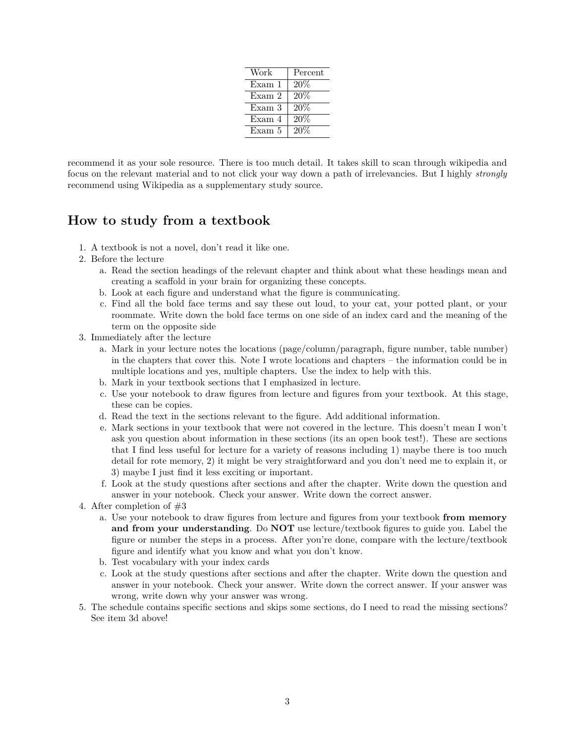| Work   | Percent |
|--------|---------|
| Exam 1 | 20%     |
| Exam 2 | 20%     |
| Exam 3 | 20%     |
| Exam 4 | 20%     |
| Exam 5 | 20%     |

recommend it as your sole resource. There is too much detail. It takes skill to scan through wikipedia and focus on the relevant material and to not click your way down a path of irrelevancies. But I highly *strongly* recommend using Wikipedia as a supplementary study source.

# **How to study from a textbook**

- 1. A textbook is not a novel, don't read it like one.
- 2. Before the lecture
	- a. Read the section headings of the relevant chapter and think about what these headings mean and creating a scaffold in your brain for organizing these concepts.
	- b. Look at each figure and understand what the figure is communicating.
	- c. Find all the bold face terms and say these out loud, to your cat, your potted plant, or your roommate. Write down the bold face terms on one side of an index card and the meaning of the term on the opposite side
- 3. Immediately after the lecture
	- a. Mark in your lecture notes the locations (page/column/paragraph, figure number, table number) in the chapters that cover this. Note I wrote locations and chapters – the information could be in multiple locations and yes, multiple chapters. Use the index to help with this.
	- b. Mark in your textbook sections that I emphasized in lecture.
	- c. Use your notebook to draw figures from lecture and figures from your textbook. At this stage, these can be copies.
	- d. Read the text in the sections relevant to the figure. Add additional information.
	- e. Mark sections in your textbook that were not covered in the lecture. This doesn't mean I won't ask you question about information in these sections (its an open book test!). These are sections that I find less useful for lecture for a variety of reasons including 1) maybe there is too much detail for rote memory, 2) it might be very straightforward and you don't need me to explain it, or 3) maybe I just find it less exciting or important.
	- f. Look at the study questions after sections and after the chapter. Write down the question and answer in your notebook. Check your answer. Write down the correct answer.
- 4. After completion of #3
	- a. Use your notebook to draw figures from lecture and figures from your textbook **from memory and from your understanding**. Do **NOT** use lecture/textbook figures to guide you. Label the figure or number the steps in a process. After you're done, compare with the lecture/textbook figure and identify what you know and what you don't know.
	- b. Test vocabulary with your index cards
	- c. Look at the study questions after sections and after the chapter. Write down the question and answer in your notebook. Check your answer. Write down the correct answer. If your answer was wrong, write down why your answer was wrong.
- 5. The schedule contains specific sections and skips some sections, do I need to read the missing sections? See item 3d above!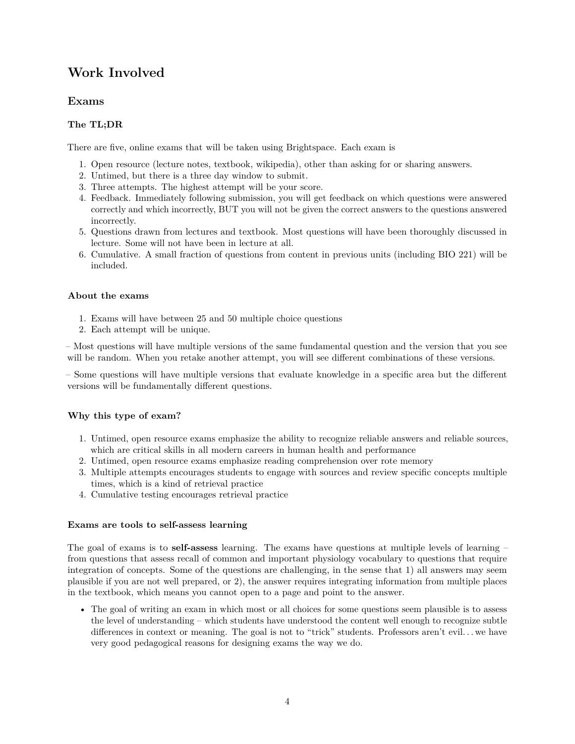# **Work Involved**

### **Exams**

### **The TL;DR**

There are five, online exams that will be taken using Brightspace. Each exam is

- 1. Open resource (lecture notes, textbook, wikipedia), other than asking for or sharing answers.
- 2. Untimed, but there is a three day window to submit.
- 3. Three attempts. The highest attempt will be your score.
- 4. Feedback. Immediately following submission, you will get feedback on which questions were answered correctly and which incorrectly, BUT you will not be given the correct answers to the questions answered incorrectly.
- 5. Questions drawn from lectures and textbook. Most questions will have been thoroughly discussed in lecture. Some will not have been in lecture at all.
- 6. Cumulative. A small fraction of questions from content in previous units (including BIO 221) will be included.

#### **About the exams**

- 1. Exams will have between 25 and 50 multiple choice questions
- 2. Each attempt will be unique.

– Most questions will have multiple versions of the same fundamental question and the version that you see will be random. When you retake another attempt, you will see different combinations of these versions.

 $-$  Some questions will have multiple versions that evaluate knowledge in a specific area but the different versions will be fundamentally different questions.

#### **Why this type of exam?**

- 1. Untimed, open resource exams emphasize the ability to recognize reliable answers and reliable sources, which are critical skills in all modern careers in human health and performance
- 2. Untimed, open resource exams emphasize reading comprehension over rote memory
- 3. Multiple attempts encourages students to engage with sources and review specific concepts multiple times, which is a kind of [retrieval practice](https://www.retrievalpractice.org/why-it-works)
- 4. Cumulative testing encourages [retrieval practice](https://www.retrievalpractice.org/why-it-works)

#### **Exams are tools to self-assess learning**

The goal of exams is to **self-assess** learning. The exams have questions at multiple levels of learning – from questions that assess recall of common and important physiology vocabulary to questions that require integration of concepts. Some of the questions are challenging, in the sense that 1) all answers may seem plausible if you are not well prepared, or 2), the answer requires integrating information from multiple places in the textbook, which means you cannot open to a page and point to the answer.

• The goal of writing an exam in which most or all choices for some questions seem plausible is to assess the level of understanding – which students have understood the content well enough to recognize subtle differences in context or meaning. The goal is not to "trick" students. Professors aren't evil... we have very good pedagogical reasons for designing exams the way we do.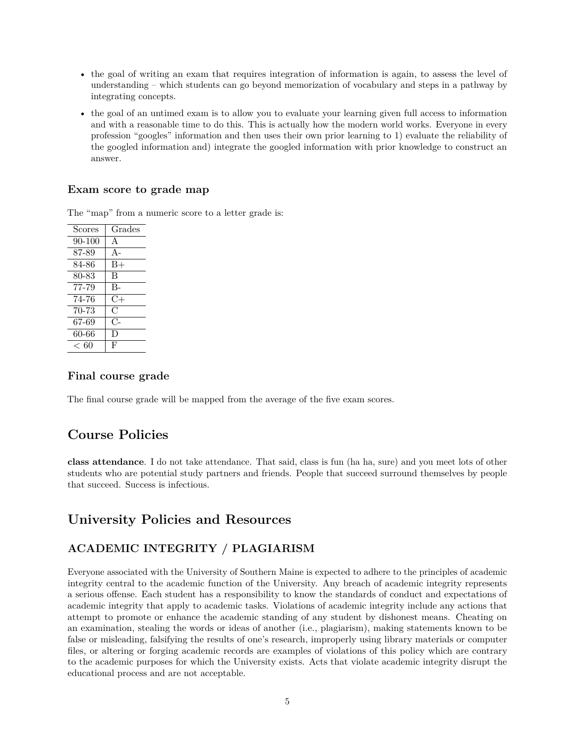- the goal of writing an exam that requires integration of information is again, to assess the level of understanding – which students can go beyond memorization of vocabulary and steps in a pathway by integrating concepts.
- the goal of an untimed exam is to allow you to evaluate your learning given full access to information and with a reasonable time to do this. This is actually how the modern world works. Everyone in every profession "googles" information and then uses their own prior learning to 1) evaluate the reliability of the googled information and) integrate the googled information with prior knowledge to construct an answer.

### **Exam score to grade map**

The "map" from a numeric score to a letter grade is:

| $\rm{}Scores$ | Grades       |
|---------------|--------------|
| 90-100        | $\mathsf{A}$ |
| 87-89         | $A-$         |
| 84-86         | $_{\rm B+}$  |
| 80-83         | B            |
| 77-79         | $B -$        |
| 74-76         | $C+$         |
| 70-73         | С            |
| 67-69         | C            |
| 60-66         | Ð            |
| ← 60          | F            |

#### **Final course grade**

The final course grade will be mapped from the average of the five exam scores.

# **Course Policies**

**class attendance**. I do not take attendance. That said, class is fun (ha ha, sure) and you meet lots of other students who are potential study partners and friends. People that succeed surround themselves by people that succeed. Success is infectious.

# **University Policies and Resources**

# **ACADEMIC INTEGRITY / PLAGIARISM**

Everyone associated with the University of Southern Maine is expected to adhere to the principles of academic integrity central to the academic function of the University. Any breach of academic integrity represents a serious offense. Each student has a responsibility to know the standards of conduct and expectations of academic integrity that apply to academic tasks. Violations of academic integrity include any actions that attempt to promote or enhance the academic standing of any student by dishonest means. Cheating on an examination, stealing the words or ideas of another (i.e., plagiarism), making statements known to be false or misleading, falsifying the results of one's research, improperly using library materials or computer files, or altering or forging academic records are examples of violations of this policy which are contrary to the academic purposes for which the University exists. Acts that violate academic integrity disrupt the educational process and are not acceptable.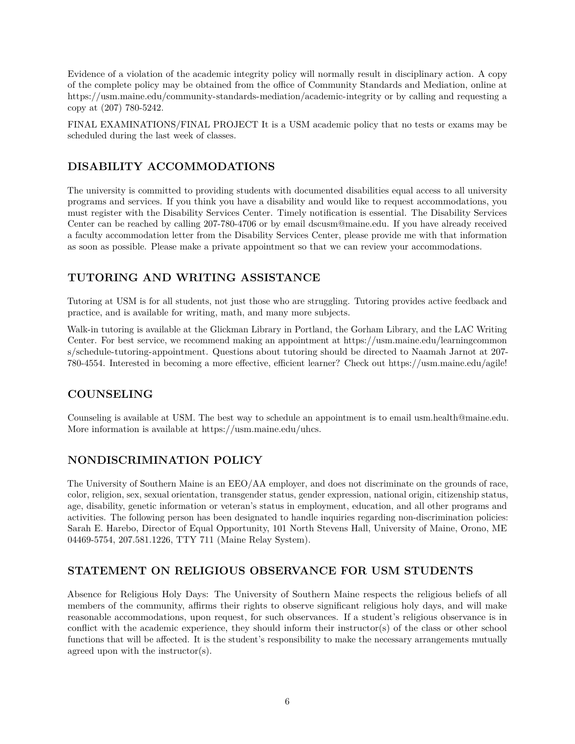Evidence of a violation of the academic integrity policy will normally result in disciplinary action. A copy of the complete policy may be obtained from the office of Community Standards and Mediation, online at <https://usm.maine.edu/community-standards-mediation/academic-integrity>or by calling and requesting a copy at (207) 780-5242.

FINAL EXAMINATIONS/FINAL PROJECT It is a USM academic policy that no tests or exams may be scheduled during the last week of classes.

# **DISABILITY ACCOMMODATIONS**

The university is committed to providing students with documented disabilities equal access to all university programs and services. If you think you have a disability and would like to request accommodations, you must register with the Disability Services Center. Timely notification is essential. The Disability Services Center can be reached by calling 207-780-4706 or by email [dscusm@maine.edu.](mailto:dscusm@maine.edu) If you have already received a faculty accommodation letter from the Disability Services Center, please provide me with that information as soon as possible. Please make a private appointment so that we can review your accommodations.

# **TUTORING AND WRITING ASSISTANCE**

Tutoring at USM is for all students, not just those who are struggling. Tutoring provides active feedback and practice, and is available for writing, math, and many more subjects.

Walk-in tutoring is available at the Glickman Library in Portland, the Gorham Library, and the LAC Writing Center. For best service, we recommend making an appointment at [https://usm.maine.edu/learningcommon](https://usm.maine.edu/learningcommons/schedule-tutoring-appointment)  [s/schedule-tutoring-appointment.](https://usm.maine.edu/learningcommons/schedule-tutoring-appointment) Questions about tutoring should be directed to Naamah Jarnot at 207 780-4554. Interested in becoming a more effective, efficient learner? Check out [https://usm.maine.edu/agile!](https://usm.maine.edu/agile)

## **COUNSELING**

Counseling is available at USM. The best way to schedule an appointment is to email [usm.health@maine.edu.](mailto:usm.health@maine.edu) More information is available at [https://usm.maine.edu/uhcs.](https://usm.maine.edu/uhcs)

## **NONDISCRIMINATION POLICY**

The University of Southern Maine is an EEO/AA employer, and does not discriminate on the grounds of race, color, religion, sex, sexual orientation, transgender status, gender expression, national origin, citizenship status, age, disability, genetic information or veteran's status in employment, education, and all other programs and activities. The following person has been designated to handle inquiries regarding non-discrimination policies: Sarah E. Harebo, Director of Equal Opportunity, 101 North Stevens Hall, University of Maine, Orono, ME 04469-5754, 207.581.1226, TTY 711 (Maine Relay System).

## **STATEMENT ON RELIGIOUS OBSERVANCE FOR USM STUDENTS**

Absence for Religious Holy Days: The University of Southern Maine respects the religious beliefs of all members of the community, affirms their rights to observe significant religious holy days, and will make reasonable accommodations, upon request, for such observances. If a student's religious observance is in conflict with the academic experience, they should inform their instructor(s) of the class or other school functions that will be affected. It is the student's responsibility to make the necessary arrangements mutually agreed upon with the instructor(s).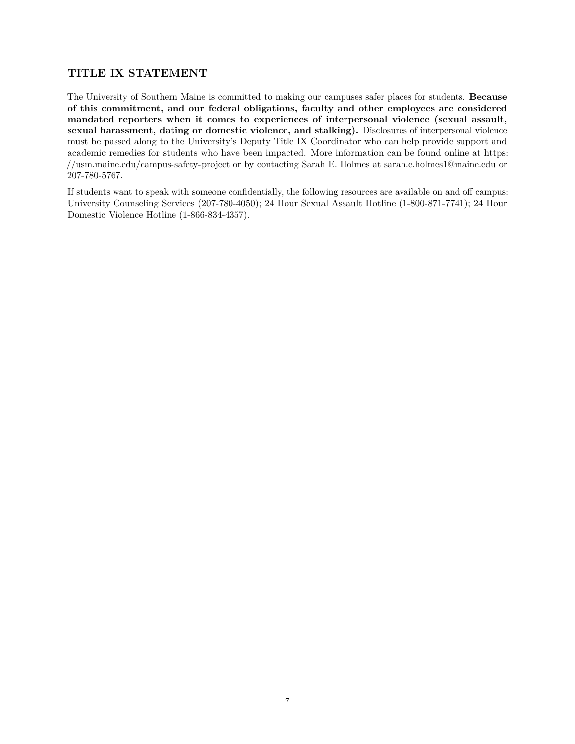## **TITLE IX STATEMENT**

The University of Southern Maine is committed to making our campuses safer places for students. **Because of this commitment, and our federal obligations, faculty and other employees are considered mandated reporters when it comes to experiences of interpersonal violence (sexual assault, sexual harassment, dating or domestic violence, and stalking).** Disclosures of interpersonal violence must be passed along to the University's Deputy Title IX Coordinator who can help provide support and academic remedies for students who have been impacted. More information can be found online at [https:](https://usm.maine.edu/campus-safety-project) [//usm.maine.edu/campus-safety-project](https://usm.maine.edu/campus-safety-project) or by contacting Sarah E. Holmes at [sarah.e.holmes1@maine.edu](mailto:sarah.e.holmes1@maine.edu) or 207-780-5767.

If students want to speak with someone confidentially, the following resources are available on and off campus: University Counseling Services (207-780-4050); 24 Hour Sexual Assault Hotline (1-800-871-7741); 24 Hour Domestic Violence Hotline (1-866-834-4357).